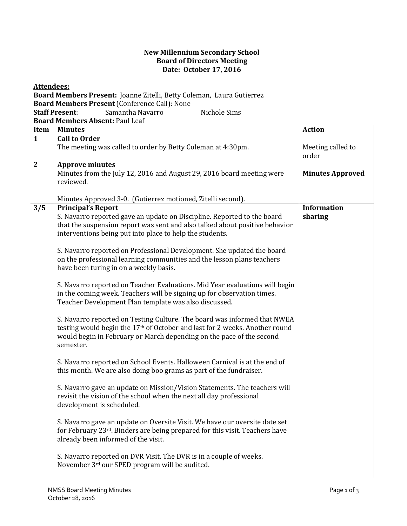## **New Millennium Secondary School Board of Directors Meeting Date: October 17, 2016**

| <b>Attendees:</b>                                                     |                                                                                                                                                                                                                                                          |                               |  |  |
|-----------------------------------------------------------------------|----------------------------------------------------------------------------------------------------------------------------------------------------------------------------------------------------------------------------------------------------------|-------------------------------|--|--|
| Board Members Present: Joanne Zitelli, Betty Coleman, Laura Gutierrez |                                                                                                                                                                                                                                                          |                               |  |  |
| Board Members Present (Conference Call): None                         |                                                                                                                                                                                                                                                          |                               |  |  |
| Samantha Navarro<br><b>Staff Present:</b><br>Nichole Sims             |                                                                                                                                                                                                                                                          |                               |  |  |
| Board Members Absent: Paul Leaf                                       |                                                                                                                                                                                                                                                          |                               |  |  |
| Item                                                                  | <b>Minutes</b>                                                                                                                                                                                                                                           | <b>Action</b>                 |  |  |
| $\mathbf{1}$                                                          | <b>Call to Order</b><br>The meeting was called to order by Betty Coleman at 4:30pm.                                                                                                                                                                      | Meeting called to<br>order    |  |  |
| $\overline{2}$                                                        | <b>Approve minutes</b><br>Minutes from the July 12, 2016 and August 29, 2016 board meeting were<br>reviewed.                                                                                                                                             | <b>Minutes Approved</b>       |  |  |
|                                                                       | Minutes Approved 3-0. (Gutierrez motioned, Zitelli second).                                                                                                                                                                                              |                               |  |  |
| 3/5                                                                   | <b>Principal's Report</b><br>S. Navarro reported gave an update on Discipline. Reported to the board<br>that the suspension report was sent and also talked about positive behavior<br>interventions being put into place to help the students.          | <b>Information</b><br>sharing |  |  |
|                                                                       | S. Navarro reported on Professional Development. She updated the board<br>on the professional learning communities and the lesson plans teachers<br>have been turing in on a weekly basis.                                                               |                               |  |  |
|                                                                       | S. Navarro reported on Teacher Evaluations. Mid Year evaluations will begin<br>in the coming week. Teachers will be signing up for observation times.<br>Teacher Development Plan template was also discussed.                                           |                               |  |  |
|                                                                       | S. Navarro reported on Testing Culture. The board was informed that NWEA<br>testing would begin the 17 <sup>th</sup> of October and last for 2 weeks. Another round<br>would begin in February or March depending on the pace of the second<br>semester. |                               |  |  |
|                                                                       | S. Navarro reported on School Events. Halloween Carnival is at the end of<br>this month. We are also doing boo grams as part of the fundraiser.                                                                                                          |                               |  |  |
|                                                                       | S. Navarro gave an update on Mission/Vision Statements. The teachers will<br>revisit the vision of the school when the next all day professional<br>development is scheduled.                                                                            |                               |  |  |
|                                                                       | S. Navarro gave an update on Oversite Visit. We have our oversite date set<br>for February 23 <sup>rd</sup> . Binders are being prepared for this visit. Teachers have<br>already been informed of the visit.                                            |                               |  |  |
|                                                                       | S. Navarro reported on DVR Visit. The DVR is in a couple of weeks.<br>November 3rd our SPED program will be audited.                                                                                                                                     |                               |  |  |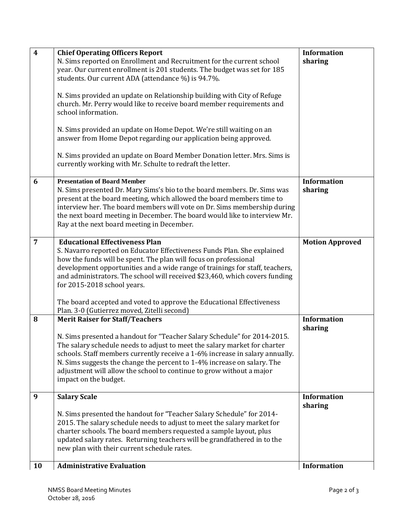| $\overline{\mathbf{4}}$ | <b>Chief Operating Officers Report</b><br>N. Sims reported on Enrollment and Recruitment for the current school<br>year. Our current enrollment is 201 students. The budget was set for 185<br>students. Our current ADA (attendance %) is 94.7%.<br>N. Sims provided an update on Relationship building with City of Refuge<br>church. Mr. Perry would like to receive board member requirements and<br>school information.                                                                               | <b>Information</b><br>sharing |
|-------------------------|------------------------------------------------------------------------------------------------------------------------------------------------------------------------------------------------------------------------------------------------------------------------------------------------------------------------------------------------------------------------------------------------------------------------------------------------------------------------------------------------------------|-------------------------------|
|                         | N. Sims provided an update on Home Depot. We're still waiting on an<br>answer from Home Depot regarding our application being approved.<br>N. Sims provided an update on Board Member Donation letter. Mrs. Sims is<br>currently working with Mr. Schulte to redraft the letter.                                                                                                                                                                                                                           |                               |
| 6                       | <b>Presentation of Board Member</b><br>N. Sims presented Dr. Mary Sims's bio to the board members. Dr. Sims was<br>present at the board meeting, which allowed the board members time to<br>interview her. The board members will vote on Dr. Sims membership during<br>the next board meeting in December. The board would like to interview Mr.<br>Ray at the next board meeting in December.                                                                                                            | <b>Information</b><br>sharing |
| $\overline{7}$          | <b>Educational Effectiveness Plan</b><br>S. Navarro reported on Educator Effectiveness Funds Plan. She explained<br>how the funds will be spent. The plan will focus on professional<br>development opportunities and a wide range of trainings for staff, teachers,<br>and administrators. The school will received \$23,460, which covers funding<br>for 2015-2018 school years.<br>The board accepted and voted to approve the Educational Effectiveness<br>Plan. 3-0 (Gutierrez moved, Zitelli second) | <b>Motion Approved</b>        |
| 8                       | <b>Merit Raiser for Staff/Teachers</b><br>N. Sims presented a handout for "Teacher Salary Schedule" for 2014-2015.<br>The salary schedule needs to adjust to meet the salary market for charter<br>schools. Staff members currently receive a 1-6% increase in salary annually.<br>N. Sims suggests the change the percent to 1-4% increase on salary. The<br>adjustment will allow the school to continue to grow without a major<br>impact on the budget.                                                | <b>Information</b><br>sharing |
| 9                       | <b>Salary Scale</b><br>N. Sims presented the handout for "Teacher Salary Schedule" for 2014-<br>2015. The salary schedule needs to adjust to meet the salary market for<br>charter schools. The board members requested a sample layout, plus<br>updated salary rates. Returning teachers will be grandfathered in to the<br>new plan with their current schedule rates.                                                                                                                                   | <b>Information</b><br>sharing |
| 10                      | <b>Administrative Evaluation</b>                                                                                                                                                                                                                                                                                                                                                                                                                                                                           | <b>Information</b>            |